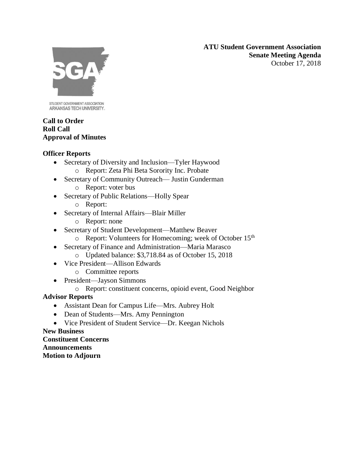**ATU Student Government Association Senate Meeting Agenda** October 17, 2018



STUDENT GOVERNMENT ASSOCIATION ARKANSAS TECH UNIVERSITY.

# **Call to Order Roll Call Approval of Minutes**

# **Officer Reports**

- Secretary of Diversity and Inclusion—Tyler Haywood
	- o Report: Zeta Phi Beta Sorority Inc. Probate
- Secretary of Community Outreach— Justin Gunderman o Report: voter bus
- Secretary of Public Relations—Holly Spear o Report:
	-
- Secretary of Internal Affairs—Blair Miller
	- o Report: none
- Secretary of Student Development—Matthew Beaver
	- o Report: Volunteers for Homecoming; week of October 15th
- Secretary of Finance and Administration—Maria Marasco
	- o Updated balance: \$3,718.84 as of October 15, 2018
- Vice President—Allison Edwards o Committee reports
	-
- President—Jayson Simmons
	- o Report: constituent concerns, opioid event, Good Neighbor

# **Advisor Reports**

- Assistant Dean for Campus Life—Mrs. Aubrey Holt
- Dean of Students—Mrs. Amy Pennington
- Vice President of Student Service—Dr. Keegan Nichols

**New Business Constituent Concerns Announcements Motion to Adjourn**